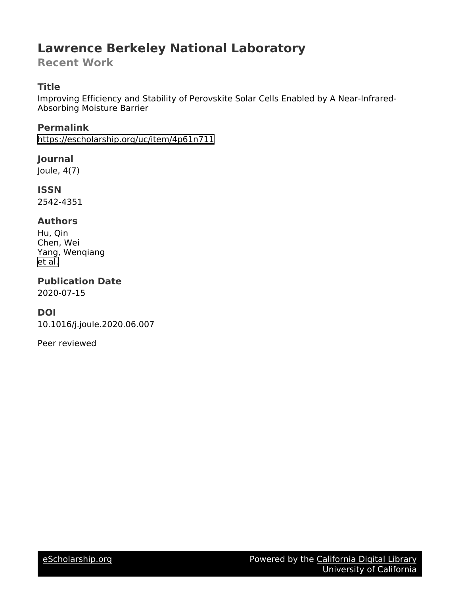# **Lawrence Berkeley National Laboratory**

**Recent Work**

## **Title**

Improving Efficiency and Stability of Perovskite Solar Cells Enabled by A Near-Infrared-Absorbing Moisture Barrier

**Permalink** <https://escholarship.org/uc/item/4p61n711>

**Journal**

Joule, 4(7)

**ISSN** 2542-4351

### **Authors**

Hu, Qin Chen, Wei Yang, Wenqiang [et al.](https://escholarship.org/uc/item/4p61n711#author)

**Publication Date** 2020-07-15

### **DOI**

10.1016/j.joule.2020.06.007

Peer reviewed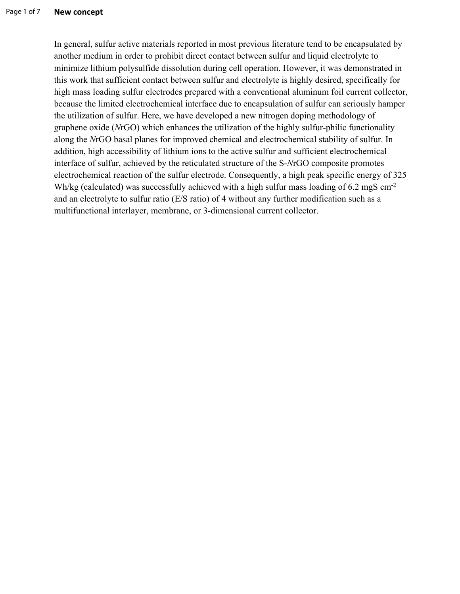In general, sulfur active materials reported in most previous literature tend to be encapsulated by another medium in order to prohibit direct contact between sulfur and liquid electrolyte to minimize lithium polysulfide dissolution during cell operation. However, it was demonstrated in this work that sufficient contact between sulfur and electrolyte is highly desired, specifically for high mass loading sulfur electrodes prepared with a conventional aluminum foil current collector, because the limited electrochemical interface due to encapsulation of sulfur can seriously hamper the utilization of sulfur. Here, we have developed a new nitrogen doping methodology of graphene oxide (*N*rGO) which enhances the utilization of the highly sulfur-philic functionality along the *N*rGO basal planes for improved chemical and electrochemical stability of sulfur. In addition, high accessibility of lithium ions to the active sulfur and sufficient electrochemical interface of sulfur, achieved by the reticulated structure of the S-*N*rGO composite promotes electrochemical reaction of the sulfur electrode. Consequently, a high peak specific energy of 325 Wh/kg (calculated) was successfully achieved with a high sulfur mass loading of 6.2 mgS cm<sup>-2</sup> and an electrolyte to sulfur ratio (E/S ratio) of 4 without any further modification such as a multifunctional interlayer, membrane, or 3-dimensional current collector.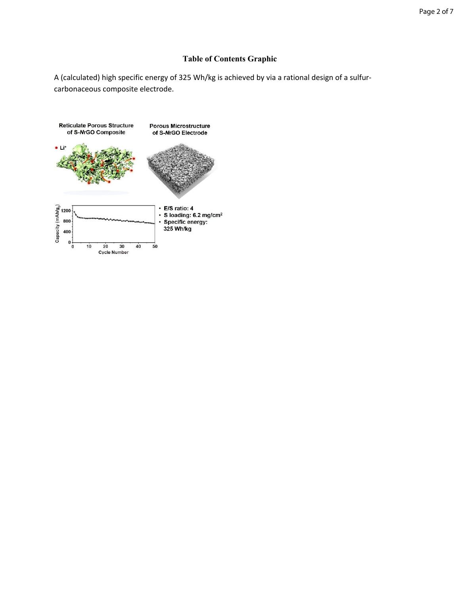### **Table of Contents Graphic**

A (calculated) high specific energy of 325 Wh/kg is achieved by via a rational design of a sulfurcarbonaceous composite electrode.

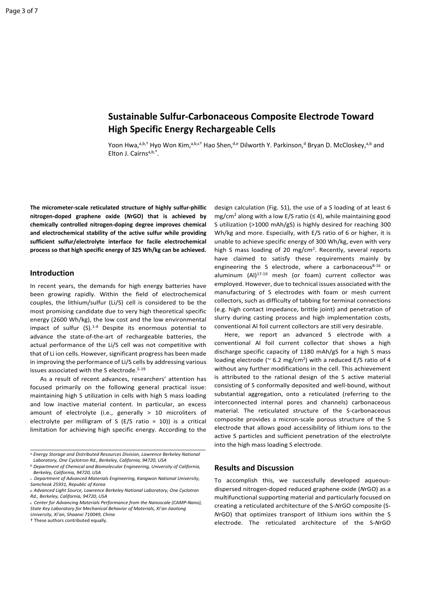### **Sustainable Sulfur‐Carbonaceous Composite Electrode Toward High Specific Energy Rechargeable Cells**

Yoon Hwa,<sup>a,b,†</sup> Hyo Won Kim,<sup>a,b,c†</sup> Hao Shen,<sup>d,e</sup> Dilworth Y. Parkinson,<sup>d</sup> Bryan D. McCloskey,<sup>a,b</sup> and Elton J. Cairns<sup>a,b,\*</sup>.

**The micrometer‐scale reticulated structure of highly sulfur‐phillic nitrogen‐doped graphene oxide (***N***rGO) that is achieved by chemically controlled nitrogen‐doping degree improves chemical and electrochemical stability of the active sulfur while providing sufficient sulfur/electrolyte interface for facile electrochemical process so that high specific energy of 325 Wh/kg can be achieved.** 

#### **Introduction**

In recent years, the demands for high energy batteries have been growing rapidly. Within the field of electrochemical couples, the lithium/sulfur (Li/S) cell is considered to be the most promising candidate due to very high theoretical specific energy (2600 Wh/kg), the low cost and the low environmental impact of sulfur  $(S)$ .<sup>1-4</sup> Despite its enormous potential to advance the state‐of‐the‐art of rechargeable batteries, the actual performance of the Li/S cell was not competitive with that of Li ion cells. However, significant progress has been made in improving the performance of Li/S cells by addressing various issues associated with the S electrode.<sup>5-19</sup>

 As a result of recent advances, researchers' attention has focused primarily on the following general practical issue: maintaining high S utilization in cells with high S mass loading and low inactive material content. In particular, an excess amount of electrolyte (i.e., generally > 10 microliters of electrolyte per milligram of  $S$  (E/S ratio = 10)) is a critical limitation for achieving high specific energy. According to the

† These authors contributed equally.

design calculation (Fig. S1), the use of a S loading of at least 6 mg/cm<sup>2</sup> along with a low E/S ratio ( $\leq$  4), while maintaining good S utilization (>1000 mAh/gS) is highly desired for reaching 300 Wh/kg and more. Especially, with E/S ratio of 6 or higher, it is unable to achieve specific energy of 300 Wh/kg, even with very high S mass loading of 20 mg/cm<sup>2</sup>. Recently, several reports have claimed to satisfy these requirements mainly by engineering the S electrode, where a carbonaceous $8-16$  or aluminum (Al)<sup>17-19</sup> mesh (or foam) current collector was employed. However, due to technical issues associated with the manufacturing of S electrodes with foam or mesh current collectors, such as difficulty of tabbing for terminal connections (e.g. high contact impedance, brittle joint) and penetration of slurry during casting process and high implementation costs, conventional Al foil current collectors are still very desirable.

Here, we report an advanced S electrode with a conventional Al foil current collector that shows a high discharge specific capacity of 1180 mAh/gS for a high S mass loading electrode ( $\approx$  6.2 mg/cm<sup>2</sup>) with a reduced E/S ratio of 4 without any further modifications in the cell. This achievement is attributed to the rational design of the S active material consisting of S conformally deposited and well‐bound, without substantial aggregation, onto a reticulated (referring to the interconnected internal pores and channels) carbonaceous material. The reticulated structure of the S-carbonaceous composite provides a micron‐scale porous structure of the S electrode that allows good accessibility of lithium ions to the active S particles and sufficient penetration of the electrolyte into the high mass loading S electrode.

#### **Results and Discussion**

To accomplish this, we successfully developed aqueous‐ dispersed nitrogen‐doped reduced graphene oxide (*N*rGO) as a multifunctional supporting material and particularly focused on creating a reticulated architecture of the S‐*N*rGO composite (S‐ *N*rGO) that optimizes transport of lithium ions within the S electrode. The reticulated architecture of the S‐*N*rGO

*a.Energy Storage and Distributed Resources Division, Lawrence Berkeley National Laboratory, One Cyclotron Rd., Berkeley, California, 94720, USA*

*b.Department of Chemical and Biomolecular Engineering, University of California, Berkeley, California, 94720, USA*

*c. Department of Advanced Materials Engineering, Kangwon National University, Samcheok 25931, Republic of Korea* 

*d. Advanced Light Source, Lawrence Berkeley National Laboratory, One Cyclotron Rd., Berkeley, California, 94720, USA*

*e. Center for Advancing Materials Performance from the Nanoscale (CAMP‐Nano), State Key Laboratory for Mechanical Behavior of Materials, Xi'an Jiaotong University, Xi'an, Shaanxi 710049, China*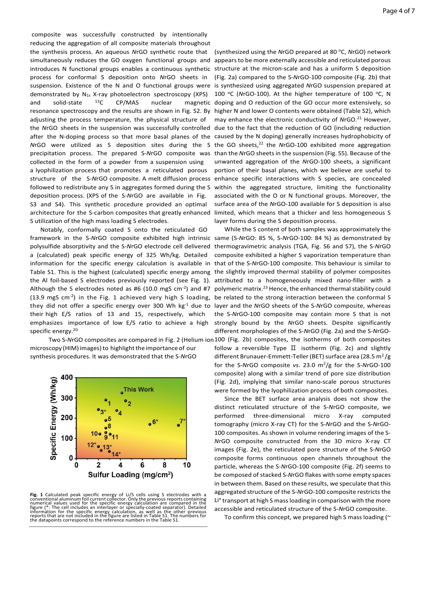composite was successfully constructed by intentionally reducing the aggregation of all composite materials throughout the synthesis process. An aqueous *N*rGO synthetic route that simultaneously reduces the GO oxygen functional groups and appears to be more externally accessible and reticulated porous introduces N functional groups enables a continuous synthetic structure at the micron-scale and has a uniform S deposition process for conformal S deposition onto *N*rGO sheets in suspension. Existence of the N and O functional groups were is synthesized using aggregated *N*rGO suspension prepared at demonstrated by  $N_{1s}$  X-ray photoelectron spectroscopy (XPS) and solid-state  $^{13}$ C CP/MAS nuclear resonance spectroscopy and the results are shown in Fig. S2. By higher N and lower O contents were obtained (Table S2), which adjusting the process temperature, the physical structure of the NrGO sheets in the suspension was successfully controlled due to the fact that the reduction of GO (including reduction after the N-doping process so that more basal planes of the caused by the N doping) generally increases hydrophobicity of *N*rGO were utilized as S deposition sites during the S the GO sheets,<sup>22</sup> the *NrGO*-100 exhibited more aggregation precipitation process. The prepared S‐*N*rGO composite was than the *N*rGO sheets in the suspension (Fig. S5). Because of the collected in the form of a powder from a suspension using a lyophilization process that promotes a reticulated porous structure of the S-NrGO composite. A melt diffusion process enhance specific interactions with S species, are concealed followed to redistribute any S in aggregates formed during the S deposition process. (XPS of the S‐*N*rGO are available in Fig. S3 and S4). This synthetic procedure provided an optimal

Notably, conformally coated S onto the reticulated GO framework in the S-NrGO composite exhibited high intrinsic same (S-NrGO: 85 %, S-NrGO-100: 84 %) as demonstrated by polysulfide absorptivity and the S‐*N*rGO electrode cell delivered thermogravimetric analysis (TGA, Fig. S6 and S7), the S‐*N*rGO a (calculated) peak specific energy of 325 Wh/kg. Detailed information for the specific energy calculation is available in that of the S-NrGO-100 composite. This behaviour is similar to Table S1. This is the highest (calculated) specific energy among the slightly improved thermal stability of polymer composites the Al foil-based S electrodes previously reported (see Fig. 1). attributed to a homogeneously mixed nano-filler with a Although the S electrodes noted as #6  $(10.0 \text{ mgS cm}^{-2})$  and #7 (13.9 mgS  $cm<sup>-2</sup>$ ) in the Fig. 1 achieved very high S loading, be related to the strong interaction between the conformal S they did not offer a specific energy over 300 Wh kg<sup>-1</sup> due to layer and the *N*rGO sheets of the S-*Nr*GO composite, whereas their high E/S ratios of 13 and 15, respectively, which emphasizes importance of low E/S ratio to achieve a high specific energy.<sup>20</sup>

S utilization of the high mass loading S electrodes.

microscopy (HIM) images) to highlight the importance of our synthesis procedures. It was demonstrated that the S‐*N*rGO



**Fig. 1** Calculated peak specific energy of Li/S cells using S electrodes with a conventional aluminum foil current collector. Only the previous reports containing numerical values used for the specific energy calculation

(synthesized using the *NrGO* prepared at 80 °C, *NrGO*) network (Fig. 2a) compared to the S‐*N*rGO‐100 composite (Fig. 2b) that 100 °C (NrGO-100). At the higher temperature of 100 °C, N magnetic doping and O reduction of the GO occur more extensively, so

architecture for the S-carbon composites that greatly enhanced limited, which means that a thicker and less homogeneous S may enhance the electronic conductivity of *NrGO*.<sup>21</sup> However, unwanted aggregation of the *N*rGO‐100 sheets, a significant portion of their basal planes, which we believe are useful to within the aggregated structure, limiting the functionality associated with the O or N functional groups. Moreover, the surface area of the *NrGO-100* available for S deposition is also layer forms during the S deposition process.

> While the S content of both samples was approximately the composite exhibited a higher S vaporization temperature than polymeric matrix.23 Hence, the enhanced thermal stability could the S‐*N*rGO‐100 composite may contain more S that is not strongly bound by the *N*rGO sheets. Despite significantly different morphologies of the S‐*N*rGO (Fig. 2a) and the S‐*N*rGO‐

Two S-NrGO composites are compared in Fig. 2 (Helium ion 100 (Fig. 2b) composites, the isotherms of both composites follow a reversible Type  $\rm{\Pi}$  isotherm (Fig. 2c) and slightly different Brunauer-Emmett-Teller (BET) surface area (28.5 m<sup>2</sup>/g for the S‐*N*rGO composite *vs*. 23.0 m2/g for the S‐*N*rGO‐100 composite) along with a similar trend of pore size distribution (Fig. 2d), implying that similar nano‐scale porous structures were formed by the lyophilization process of both composites.

> Since the BET surface area analysis does not show the distinct reticulated structure of the S‐*N*rGO composite, we performed three‐dimensional micro X‐ray computed tomography (micro X‐ray CT) for the S‐*N*rGO and the S‐*N*rGO‐ 100 composites. As shown in volume rendering images of the S‐ *N*rGO composite constructed from the 3D micro X‐ray CT images (Fig. 2e), the reticulated pore structure of the S‐*N*rGO composite forms continuous open channels throughout the particle, whereas the S‐*N*rGO‐100 composite (Fig. 2f) seems to be composed of stacked S‐*N*rGO flakes with some empty spaces in between them. Based on these results, we speculate that this aggregated structure of the S‐*N*rGO‐100 composite restricts the Li**+** transport at high S mass loading in comparison with the more accessible and reticulated structure of the S‐*N*rGO composite.

To confirm this concept, we prepared high S mass loading ( $\sim$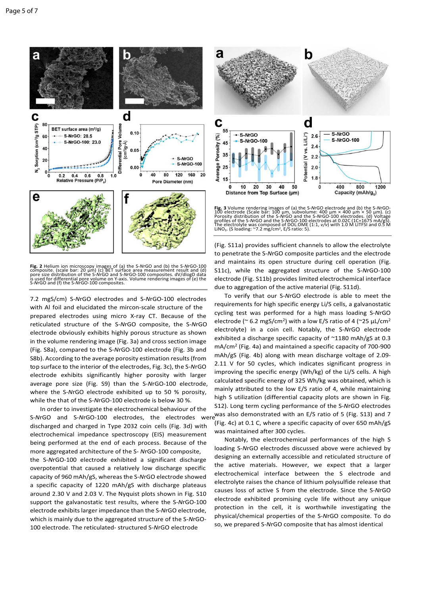

Fig. 2 Helium ion microscopy images of (a) the S-*N*rGO and (b) the S-*N*rGO-100<br>composite. (scale bar: 20 µm) (c) BET surface area measurement result and (d)<br>pore size distribution of the S-NrGO and S-NrGO-100 composites.

7.2 mgS/cm) S‐*N*rGO electrodes and S‐*N*rGO‐100 electrodes with Al foil and elucidated the mircon-scale structure of the prepared electrodes using micro X-ray CT. Because of the reticulated structure of the S‐*N*rGO composite, the S‐*N*rGO electrode obviously exhibits highly porous structure as shown in the volume rendering image (Fig. 3a) and cross section image (Fig. S8a), compared to the S‐*N*rGO‐100 electrode (Fig. 3b and S8b). According to the average porosity estimation results (from top surface to the interior of the electrodes, Fig. 3c), the S‐*N*rGO electrode exhibits significantly higher porosity with larger average pore size (Fig. S9) than the S‐*N*rGO‐100 electrode, where the S-NrGO electrode exhibited up to 50 % porosity. while the that of the S-NrGO-100 electrode is below 30 %.

In order to investigate the electrochemical behaviour of the discharged and charged in Type 2032 coin cells (Fig. 3d) with electrochemical impedance spectroscopy (EIS) measurement being performed at the end of each process. Because of the more aggregated architecture of the S‐ *N*rGO‐100 composite, the S‐*N*rGO‐100 electrode exhibited a significant discharge overpotential that caused a relatively low discharge specific capacity of 960 mAh/gS, whereas the S‐*N*rGO electrode showed a specific capacity of 1220 mAh/gS with discharge plateaus around 2.30 V and 2.03 V. The Nyquist plots shown in Fig. S10 support the galvanostatic test results, where the S‐*N*rGO‐100 electrode exhibits larger impedance than the S‐*N*rGO electrode, which is mainly due to the aggregated structure of the S‐*N*rGO‐ 100 electrode. The reticulated‐ structured S‐*N*rGO electrode



Fig. 3 Volume rendering images of (a) the S-NrGO electrode and (b) the S-NrGO-100 electrode (Scale bar: 100 µm, subvolume: 400 µm × 400 µm × 50 µm). (c) Porosity distribution of the S-NrGO and the S-NrGO-100 electrodes. (d

(Fig. S11a) provides sufficient channels to allow the electrolyte to penetrate the S‐*N*rGO composite particles and the electrode and maintains its open structure during cell operation (Fig. S11c), while the aggregated structure of the S‐*N*rGO‐100 electrode (Fig. S11b) provides limited electrochemical interface due to aggregation of the active material (Fig. S11d).

S-*NrGO* and S-*NrGO*-100 electrodes, the electrodes were was also demonstrated with an E/S ratio of 5 (Fig. S13) and 7 To verify that our S‐*N*rGO electrode is able to meet the requirements for high specific energy Li/S cells, a galvanostatic cycling test was performed for a high mass loading S‐*N*rGO electrode ( $\degree$  6.2 mgS/cm<sup>2</sup>) with a low E/S ratio of 4 ( $\degree$ 25 uL/cm<sup>2</sup>) electrolyte) in a coin cell. Notably, the S‐*N*rGO electrode exhibited a discharge specific capacity of ~1180 mAh/gS at 0.3 mA/cm2 (Fig. 4a) and maintained a specific capacity of 700‐900 mAh/gS (Fig. 4b) along with mean discharge voltage of 2.09‐ 2.11 V for 50 cycles, which indicates significant progress in improving the specific energy (Wh/kg) of the Li/S cells. A high calculated specific energy of 325 Wh/kg was obtained, which is mainly attributed to the low E/S ratio of 4, while maintaining high S utilization (differential capacity plots are shown in Fig. S12). Long term cycling performance of the S‐*N*rGO electrodes (Fig. 4c) at 0.1 C, where a specific capacity of over 650 mAh/gS was maintained after 300 cycles.

> Notably, the electrochemical performances of the high S loading S‐*N*rGO electrodes discussed above were achieved by designing an externally accessible and reticulated structure of the active materials. However, we expect that a larger electrochemical interface between the S electrode and electrolyte raises the chance of lithium polysulfide release that causes loss of active S from the electrode. Since the S‐*N*rGO electrode exhibited promising cycle life without any unique protection in the cell, it is worthwhile investigating the physical/chemical properties of the S‐*N*rGO composite. To do so, we prepared S‐*N*rGO composite that has almost identical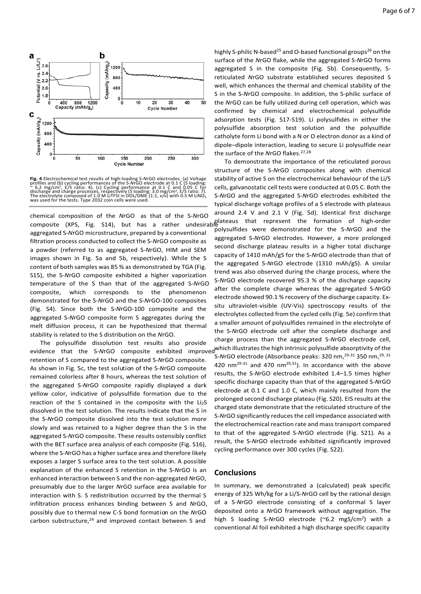



**Fig. 4** Electrochemical test results of high-loading S-NrGO electrodes. (a) Voltage<br>profiles and (b) cycling performances of the S-NrGO electrode at 0.1 C (S loading:<br> $\sim$  6.2 mg/cm<sup>2</sup>, E/S ratio: 4). (c) Cycling perform

chemical composition of the *N*rGO as that of the S‐*N*rGO composite (XPS, Fig. S14), but has a rather undesirable plateaus that represent the formation of high‐order aggregated S‐*N*rGO microstructure, prepared by a conventional filtration process conducted to collect the S‐*N*rGO composite as a powder (referred to as aggregated S‐*N*rGO, HIM and SEM images shown in Fig. 5a and 5b, respectively). While the S content of both samples was 85 % as demonstrated by TGA (Fig. S15), the S-NrGO composite exhibited a higher vaporization temperature of the S than that of the aggregated S‐*N*rGO composite, which corresponds to the phenomenon demonstrated for the S‐*N*rGO and the S‐*N*rGO‐100 composites (Fig. S4). Since both the S‐*N*rGO‐100 composite and the aggregated S‐*N*rGO composite form S aggregates during the melt diffusion process, it can be hypothesized that thermal stability is related to the S distribution on the *N*rGO.

The polysulfide dissolution test results also provide retention of S compared to the aggregated S‐*N*rGO composite. As shown in Fig. 5c, the test solution of the S‐*N*rGO composite remained colorless after 8 hours, whereas the test solution of the aggregated S‐*N*rGO composite rapidly displayed a dark yellow color, indicative of polysulfide formation due to the reaction of the S contained in the composite with the  $Li<sub>2</sub>S$ dissolved in the test solution. The results indicate that the S in the S-NrGO composite dissolved into the test solution more slowly and was retained to a higher degree than the S in the aggregated S‐*N*rGO composite. These results ostensibly conflict with the BET surface area analysis of each composite (Fig. S16), where the S‐*N*rGO has a higher surface area and therefore likely exposes a larger S surface area to the test solution. A possible explanation of the enhanced S retention in the S‐*N*rGO is an enhanced interaction between S and the non‐aggregated *N*rGO, presumably due to the larger *N*rGO surface area available for interaction with S. S redistribution occurred by the thermal S infiltration process enhances binding between S and *N*rGO, possibly due to thermal new C‐S bond formation on the *N*rGO carbon substructure, $24$  and improved contact between S and

highly S-philic N-based<sup>25</sup> and O-based functional groups<sup>26</sup> on the surface of the *N*rGO flake, while the aggregated S‐*N*rGO forms aggregated S in the composite (Fig. 5b). Consequently, Sreticulated *N*rGO substrate established secures deposited S well, which enhances the thermal and chemical stability of the S in the S‐*N*rGO composite. In addition, the S‐philic surface of the *N*rGO can be fully utilized during cell operation, which was confirmed by chemical and electrochemical polysulfide adsorption tests (Fig. S17‐S19). Li polysulfides in either the polysulfide absorption test solution and the polysulfide catholyte form Li bond with a N or O electron donor as a kind of dipole–dipole interaction, leading to secure Li polysulfide near the surface of the NrGO flakes.<sup>27,28</sup>

evidence that the S-NrGO composite exhibited improved which illustrates the high intrinsic polysulfide absorptivity of the To demonstrate the importance of the reticulated porous structure of the S‐*N*rGO composites along with chemical stability of active S on the electrochemical behaviour of the Li/S cells, galvanostatic cell tests were conducted at 0.05 C. Both the S‐*N*rGO and the aggregated S‐*N*rGO electrodes exhibited the typical discharge voltage profiles of a S electrode with plateaus around 2.4 V and 2.1 V (Fig. 5d). Identical first discharge polysulfides were demonstrated for the S‐*N*rGO and the aggregated S‐*N*rGO electrodes. However, a more prolonged second discharge plateau results in a higher total discharge capacity of 1410 mAh/gS for the S‐*N*rGO electrode than that of the aggregated S‐*N*rGO electrode (1310 mAh/gS). A similar trend was also observed during the charge process, where the S‐*N*rGO electrode recovered 95.3 % of the discharge capacity after the complete charge whereas the aggregated S‐*N*rGO electrode showed 90.1 % recovery of the discharge capacity. Ex‐ situ ultraviolet-visible (UV-Vis) spectroscopy results of the electrolytes collected from the cycled cells (Fig. 5e) confirm that a smaller amount of polysulfides remained in the electrolyte of the S‐*N*rGO electrode cell after the complete discharge and charge process than the aggregated S‐*N*rGO electrode cell, S‐*N*rGO electrode (Absorbance peaks: 320 nm,29‐31 350 nm,29, 31 420  $nm^{29-31}$  and 470  $nm^{29,31}$ ). In accordance with the above results, the S‐*N*rGO electrode exhibited 1.4–1.5 times higher specific discharge capacity than that of the aggregated S‐*N*rGO electrode at 0.1 C and 1.0 C, which mainly resulted from the prolonged second discharge plateau (Fig. S20). EIS results at the charged state demonstrate that the reticulated structure of the S‐*N*rGO significantly reduces the cell impedance associated with the electrochemical reaction rate and mass transport compared to that of the aggregated S‐*N*rGO electrode (Fig. S21). As a result, the S‐*N*rGO electrode exhibited significantly improved cycling performance over 300 cycles (Fig. S22).

#### **Conclusions**

In summary, we demonstrated a (calculated) peak specific energy of 325 Wh/kg for a Li/S‐*N*rGO cell by the rational design of a S‐*N*rGO electrode consisting of a conformal S layer deposited onto a *N*rGO framework without aggregation. The high S loading S-NrGO electrode (~6.2 mgS/cm<sup>2</sup>) with a conventional Al foil exhibited a high discharge specific capacity